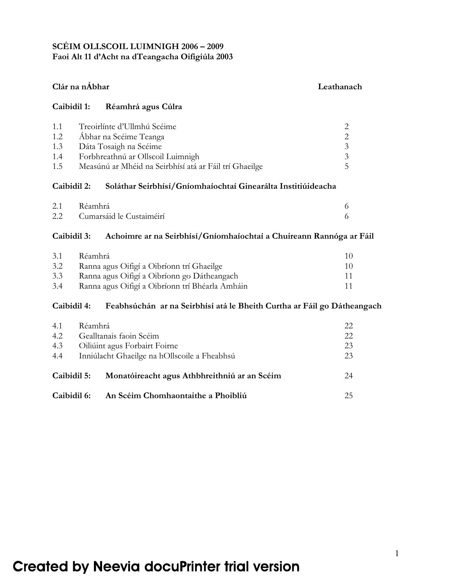# **SCÉIM OLLSCOIL LUIMNIGH 2006 – 2009 Faoi Alt 11 d'Acht na dTeangacha Oifigiúla 2003**

# **Clár na nÁbhar Leathanach**

#### **Caibidil 1: Réamhrá agus Cúlra**

| 1.1 | Treoirlínte d'Ullmhú Scéime                            |    |
|-----|--------------------------------------------------------|----|
| 1.2 | Ábhar na Scéime Teanga                                 |    |
| 1.3 | Dáta Tosaigh na Scéime                                 | 3  |
| 1.4 | Forbhreathnú ar Ollscoil Luimnigh                      | 3  |
| 1.5 | Measúnú ar Mhéid na Seirbhísí atá ar Fáil trí Ghaeilge | 5. |

#### **Caibidil 2: Soláthar Seirbhísí/Gníomhaíochtaí Ginearálta Institiúideacha**

| 2.1 | Réamhrá                      |  |
|-----|------------------------------|--|
|     | 2.2 Cumarsáid le Custaiméirí |  |

### **Caibidil 3: Achoimre ar na Seirbhísí/Gníomhaíochtaí a Chuireann Rannóga ar Fáil**

| 3.1 | Réamhrá                                         |     |
|-----|-------------------------------------------------|-----|
| 3.2 | Ranna agus Oifigí a Oibríonn trí Ghaeilge       | 10. |
| 3.3 | Ranna agus Oifigí a Oibríonn go Dátheangach     |     |
| 3.4 | Ranna agus Oifigí a Oibríonn trí Bhéarla Amháin |     |

# **Caibidil 4: Feabhsúchán ar na Seirbhísí atá le Bheith Curtha ar Fáil go Dátheangach**

| 4.1         | Réamhrá                                      | 22  |
|-------------|----------------------------------------------|-----|
| 4.2         | Gealltanais faoin Scéim                      | 22. |
| 4.3         | Oiliúint agus Forbairt Foirne                | 23  |
| 4.4         | Inniúlacht Ghaeilge na hOllscoile a Fheabhsú | 23  |
|             |                                              |     |
| Caibidil 5: | Monatóireacht agus Athbhreithniú ar an Scéim | 24  |
|             |                                              |     |
| Caibidil 6: | An Scéim Chomhaontaithe a Phoibliú           | 25  |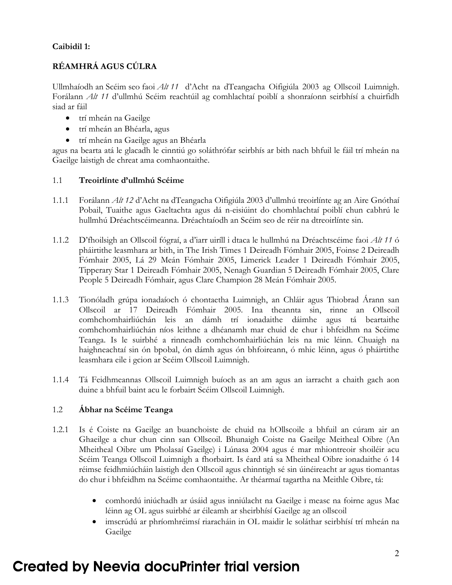# **Caibidil 1:**

# **RÉAMHRÁ AGUS CÚLRA**

Ullmhaíodh an Scéim seo faoi *Alt 11* d'Acht na dTeangacha Oifigiúla 2003 ag Ollscoil Luimnigh. Forálann *Alt 11* d'ullmhú Scéim reachtúil ag comhlachtaí poiblí a shonraíonn seirbhísí a chuirfidh siad ar fáil

- trí mheán na Gaeilge
- trí mheán an Bhéarla, agus
- trí mheán na Gaeilge agus an Bhéarla

agus na bearta atá le glacadh le cinntiú go soláthrófar seirbhís ar bith nach bhfuil le fáil trí mheán na Gaeilge laistigh de chreat ama comhaontaithe.

### 1.1 **Treoirlínte d'ullmhú Scéime**

- 1.1.1 Forálann *Alt 12* d'Acht na dTeangacha Oifigiúla 2003 d'ullmhú treoirlínte ag an Aire Gnóthaí Pobail, Tuaithe agus Gaeltachta agus dá n-eisiúint do chomhlachtaí poiblí chun cabhrú le hullmhú Dréachtscéimeanna. Dréachtaíodh an Scéim seo de réir na dtreoirlínte sin.
- 1.1.2 D'fhoilsigh an Ollscoil fógraí, a d'iarr uiríll i dtaca le hullmhú na Dréachtscéime faoi *Alt 11* ó pháirtithe leasmhara ar bith, in The Irish Times 1 Deireadh Fómhair 2005, Foinse 2 Deireadh Fómhair 2005, Lá 29 Meán Fómhair 2005, Limerick Leader 1 Deireadh Fómhair 2005, Tipperary Star 1 Deireadh Fómhair 2005, Nenagh Guardian 5 Deireadh Fómhair 2005, Clare People 5 Deireadh Fómhair, agus Clare Champion 28 Meán Fómhair 2005.
- 1.1.3 Tionóladh grúpa ionadaíoch ó chontaetha Luimnigh, an Chláir agus Thiobrad Árann san Ollscoil ar 17 Deireadh Fómhair 2005. Ina theannta sin, rinne an Ollscoil comhchomhairliúchán leis an dámh trí ionadaithe dáimhe agus tá beartaithe comhchomhairliúchán níos leithne a dhéanamh mar chuid de chur i bhfeidhm na Scéime Teanga. Is le suirbhé a rinneadh comhchomhairliúchán leis na mic léinn. Chuaigh na haighneachtaí sin ón bpobal, ón dámh agus ón bhfoireann, ó mhic léinn, agus ó pháirtithe leasmhara eile i gcion ar Scéim Ollscoil Luimnigh.
- 1.1.4 Tá Feidhmeannas Ollscoil Luimnigh buíoch as an am agus an iarracht a chaith gach aon duine a bhfuil baint acu le forbairt Scéim Ollscoil Luimnigh.

### 1.2 **Ábhar na Scéime Teanga**

- 1.2.1 Is é Coiste na Gaeilge an buanchoiste de chuid na hOllscoile a bhfuil an cúram air an Ghaeilge a chur chun cinn san Ollscoil. Bhunaigh Coiste na Gaeilge Meitheal Oibre (An Mheitheal Oibre um Pholasaí Gaeilge) i Lúnasa 2004 agus é mar mhiontreoir shoiléir acu Scéim Teanga Ollscoil Luimnigh a fhorbairt. Is éard atá sa Mheitheal Oibre ionadaithe ó 14 réimse feidhmiúcháin laistigh den Ollscoil agus chinntigh sé sin úinéireacht ar agus tiomantas do chur i bhfeidhm na Scéime comhaontaithe. Ar théarmaí tagartha na Meithle Oibre, tá:
	- comhordú iniúchadh ar úsáid agus inniúlacht na Gaeilge i measc na foirne agus Mac léinn ag OL agus suirbhé ar éileamh ar sheirbhísí Gaeilge ag an ollscoil
	- imscrúdú ar phríomhréimsí riaracháin in OL maidir le soláthar seirbhísí trí mheán na Gaeilge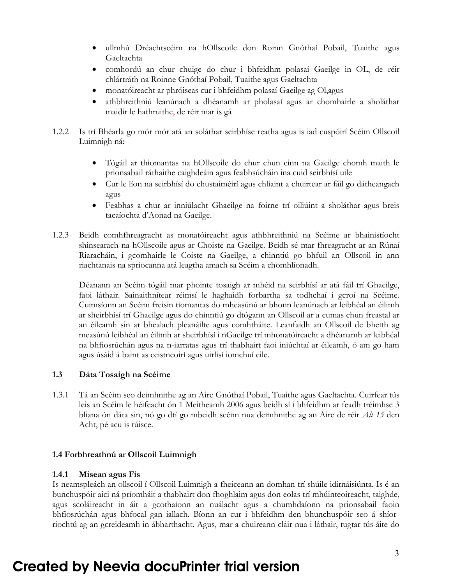- ullmhú Dréachtscéim na hOllscoile don Roinn Gnóthaí Pobail, Tuaithe agus Gaeltachta
- comhordú an chur chuige do chur i bhfeidhm polasaí Gaeilge in OL, de réir chlártráth na Roinne Gnóthaí Pobail, Tuaithe agus Gaeltachta
- monatóireacht ar phróiseas cur i bhfeidhm polasaí Gaeilge ag Ol,agus
- athbhreithniú leanúnach a dhéanamh ar pholasaí agus ar chomhairle a sholáthar maidir le hathruithe, de réir mar is gá
- 1.2.2 Is trí Bhéarla go mór mór atá an soláthar seirbhíse reatha agus is iad cuspóirí Scéim Ollscoil Luimnigh ná:
	- Tógáil ar thiomantas na hOllscoile do chur chun cinn na Gaeilge chomh maith le prionsabail ráthaithe caighdeáin agus feabhsúcháin ina cuid seirbhísí uile
	- Cur le líon na seirbhísí do chustaiméirí agus chliaint a chuirtear ar fáil go dátheangach agus
	- Feabhas a chur ar inniúlacht Ghaeilge na foirne trí oiliúint a sholáthar agus breis tacaíochta d'Aonad na Gaeilge.
- 1.2.3 Beidh comhfhreagracht as monatóireacht agus athbhreithniú na Scéime ar bhainistíocht shinsearach na hOllscoile agus ar Choiste na Gaeilge. Beidh sé mar fhreagracht ar an Rúnaí Riaracháin, i gcomhairle le Coiste na Gaeilge, a chinntiú go bhfuil an Ollscoil in ann riachtanais na spriocanna atá leagtha amach sa Scéim a chomhlíonadh.

 Déanann an Scéim tógáil mar phointe tosaigh ar mhéid na seirbhísí ar atá fáil trí Ghaeilge, faoi láthair. Sainaithnítear réimsí le haghaidh forbartha sa todhchaí i gcroí na Scéime. Cuimsíonn an Scéim freisin tiomantas do mheasúnú ar bhonn leanúnach ar leibhéal an éilimh ar sheirbhísí trí Ghaeilge agus do chinntiú go dtógann an Ollscoil ar a cumas chun freastal ar an éileamh sin ar bhealach pleanáilte agus comhtháite. Leanfaidh an Ollscoil de bheith ag measúnú leibhéal an éilimh ar sheirbhísí i nGaeilge trí mhonatóireacht a dhéanamh ar leibhéal na bhfiosrúchán agus na n-iarratas agus trí thabhairt faoi iniúchtaí ar éileamh, ó am go ham agus úsáid á baint as ceistneoirí agus uirlisí iomchuí eile.

### **1.3 Dáta Tosaigh na Scéime**

1.3.1 Tá an Scéim seo deimhnithe ag an Aire Gnóthaí Pobail, Tuaithe agus Gaeltachta. Cuirfear tús leis an Scéim le héifeacht ón 1 Meitheamh 2006 agus beidh sí i bhfeidhm ar feadh tréimhse 3 bliana ón dáta sin, nó go dtí go mbeidh scéim nua deimhnithe ag an Aire de réir *Alt 15* den Acht, pé acu is túisce.

#### **1.4 Forbhreathnú ar Ollscoil Luimnigh**

#### **1.4.1 Misean agus Fís**

Is neamspleách an ollscoil í Ollscoil Luimnigh a fheiceann an domhan trí shúile idirnáisiúnta. Is é an bunchuspóir aici ná príomháit a thabhairt don fhoghlaim agus don eolas trí mhúinteoireacht, taighde, agus scoláireacht in áit a gcothaíonn an nuálacht agus a chumhdaíonn na prionsabail faoin bhfiosrúchán agus bhfocal gan iallach. Bíonn an cur i bhfeidhm den bhunchuspóir seo á shíorriochtú ag an gcreideamh in ábharthacht. Agus, mar a chuireann cláir nua i láthair, tugtar tús áite do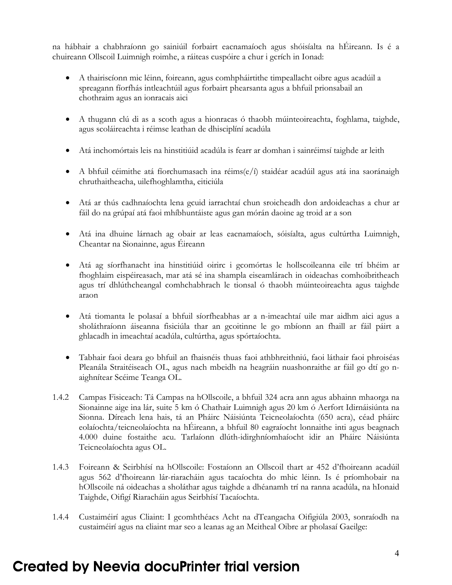na hábhair a chabhraíonn go sainiúil forbairt eacnamaíoch agus shóisíalta na hÉireann. Is é a chuireann Ollscoil Luimnigh roimhe, a ráiteas cuspóire a chur i gcrích in Ionad:

- A thairiscíonn mic léinn, foireann, agus comhpháirtithe timpeallacht oibre agus acadúil a spreagann fíorfhás intleachtúil agus forbairt phearsanta agus a bhfuil prionsabail an chothraim agus an ionracais aici
- A thugann clú di as a scoth agus a hionracas ó thaobh múinteoireachta, foghlama, taighde, agus scoláireachta i réimse leathan de dhisciplíní acadúla
- Atá inchomórtais leis na hinstitiúid acadúla is fearr ar domhan i sainréimsí taighde ar leith
- A bhfuil céimithe atá fíorchumasach ina réims(e/í) staidéar acadúil agus atá ina saoránaigh chruthaitheacha, uilefhoghlamtha, eiticiúla
- Atá ar thús cadhnaíochta lena gcuid iarrachtaí chun sroicheadh don ardoideachas a chur ar fáil do na grúpaí atá faoi mhíbhuntáiste agus gan mórán daoine ag troid ar a son
- Atá ina dhuine lárnach ag obair ar leas eacnamaíoch, sóisíalta, agus cultúrtha Luimnigh, Cheantar na Sionainne, agus Éireann
- Atá ag síorfhanacht ina hinstitiúid oirirc i gcomórtas le hollscoileanna eile trí bhéim ar fhoghlaim eispéireasach, mar atá sé ina shampla eiseamlárach in oideachas comhoibritheach agus trí dhlúthcheangal comhchabhrach le tionsal ó thaobh múinteoireachta agus taighde araon
- Atá tiomanta le polasaí a bhfuil síorfheabhas ar a n-imeachtaí uile mar aidhm aici agus a sholáthraíonn áiseanna fisiciúla thar an gcoitinne le go mbíonn an fhaill ar fáil páirt a ghlacadh in imeachtaí acadúla, cultúrtha, agus spórtaíochta.
- Tabhair faoi deara go bhfuil an fhaisnéis thuas faoi athbhreithniú, faoi láthair faoi phroiséas Pleanála Straitéiseach OL, agus nach mbeidh na heagráin nuashonraithe ar fáil go dtí go naighnítear Scéime Teanga OL.
- 1.4.2 Campas Fisiceach: Tá Campas na hOllscoile, a bhfuil 324 acra ann agus abhainn mhaorga na Sionainne aige ina lár, suite 5 km ó Chathair Luimnigh agus 20 km ó Aerfort Idirnáisiúnta na Sionna. Díreach lena hais, tá an Pháirc Náisiúnta Teicneolaíochta (650 acra), céad pháirc eolaíochta/teicneolaíochta na hÉireann, a bhfuil 80 eagraíocht lonnaithe inti agus beagnach 4.000 duine fostaithe acu. Tarlaíonn dlúth-idirghníomhaíocht idir an Pháirc Náisiúnta Teicneolaíochta agus OL.
- 1.4.3 Foireann & Seirbhísí na hOllscoile: Fostaíonn an Ollscoil thart ar 452 d'fhoireann acadúil agus 562 d'fhoireann lár-riaracháin agus tacaíochta do mhic léinn. Is é príomhobair na hOllscoile ná oideachas a sholáthar agus taighde a dhéanamh trí na ranna acadúla, na hIonaid Taighde, Oifigí Riaracháin agus Seirbhísí Tacaíochta.
- 1.4.4 Custaiméirí agus Cliaint: I gcomhthéacs Acht na dTeangacha Oifigiúla 2003, sonraíodh na custaiméirí agus na cliaint mar seo a leanas ag an Meitheal Oibre ar pholasaí Gaeilge: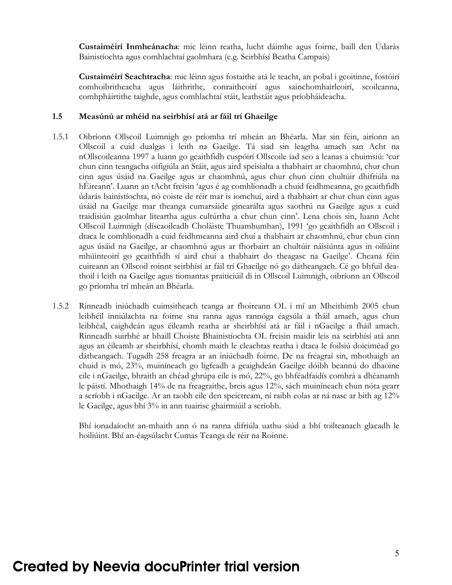**Custaiméirí Inmheánacha**: mic léinn reatha, lucht dáimhe agus foirne, baill den Údarás Bainistíochta agus comhlachtaí gaolmhara (e.g. Seirbhísí Beatha Campais)

**Custaiméirí Seachtracha**: mic léinn agus fostaithe atá le teacht, an pobal i gcoitinne, fostóirí comhoibritheacha agus láithrithe, conraitheoirí agus sainchomhairleoirí, scoileanna, comhpháirtithe taighde, agus comhlachtaí stáit, leathstáit agus príobháideacha.

#### **1.5 Measúnú ar mhéid na seirbhísí atá ar fáil trí Ghaeilge**

- 1.5.1 Oibríonn Ollscoil Luimnigh go príomha trí mheán an Bhéarla. Mar sin féin, airíonn an Ollscoil a cuid dualgas i leith na Gaeilge. Tá siad sin leagtha amach san Acht na nOllscoileanna 1997 a luann go gcaithfidh cuspóirí Ollscoile iad seo a leanas a chuimsiú: 'cur chun cinn teangacha oifigiúla an Stáit, agus aird speisialta a thabhairt ar chaomhnú, chur chun cinn agus úsáid na Gaeilge agus ar chaomhnú, agus chur chun cinn chultúir dhifriúla na hÉireann'. Luann an tAcht freisin 'agus é ag comhlíonadh a chuid feidhmeanna, go gcaithfidh údarás bainistíochta, nó coiste de réir mar is iomchuí, aird a thabhairt ar chur chun cinn agus úsáid na Gaeilge mar theanga cumarsáide ginearálta agus saothrú na Gaeilge agus a cuid traidisiún gaolmhar liteartha agus cultúrtha a chur chun cinn'. Lena chois sin, luann Acht Ollscoil Luimnigh (díscaoileadh Choláiste Thuamhumhan), 1991 'go gcaithfidh an Ollscoil i dtaca le comhlíonadh a cuid feidhmeanna aird chuí a thabhairt ar chaomhnú, chur chun cinn agus úsáid na Gaeilge, ar chaomhnú agus ar fhorbairt an chultúir náisiúnta agus in oiliúint mhúinteoirí go gcaithfidh sí aird chuí a thabhairt do theagasc na Gaeilge'. Cheana féin cuireann an Ollscoil roinnt seirbhísí ar fáil trí Ghaeilge nó go dátheangach. Cé go bhfuil deathoil i leith na Gaeilge agus tiomantas praiticiúil di in Ollscoil Luimnigh, oibríonn an Ollscoil go príomha trí mheán an Bhéarla.
- 1.5.2 Rinneadh iniúchadh cuimsitheach teanga ar fhoireann OL i mí an Mheithimh 2005 chun leibhéil inniúlachta na foirne sna ranna agus rannóga éagsúla a fháil amach, agus chun leibhéal, caighdeán agus éileamh reatha ar sheirbhísí atá ar fáil i nGaeilge a fháil amach. Rinneadh suirbhé ar bhaill Choiste Bhainistíochta OL freisin maidir leis na seirbhísí atá ann agus an éileamh ar sheirbhísí, chomh maith le cleachtas reatha i dtaca le foilsiú doiciméad go dátheangach. Tugadh 258 freagra ar an iniúchadh foirne. De na freagraí sin, mhothaigh an chuid is mó, 23%, muiníneach go ligfeadh a gcaighdeán Gaeilge dóibh beannú do dhaoine eile i nGaeilge, bhraith an chéad ghrúpa eile is mó, 22%, go bhféadfaidís comhrá a dhéanamh le páistí. Mhothaigh 14% de na freagraithe, breis agus 12%, sách muiníneach chun nóta gearr a scríobh i nGaeilge. Ar an taobh eile den speictream, ní raibh eolas ar ná nasc ar bith ag 12% le Gaeilge, agus bhí 3% in ann tuairisc ghairmiúil a scríobh.

 Bhí ionadaíocht an-mhaith ann ó na ranna difriúla uathu siúd a bhí toilteanach glacadh le hoiliúint. Bhí an-éagsúlacht Cumas Teanga de réir na Roinne.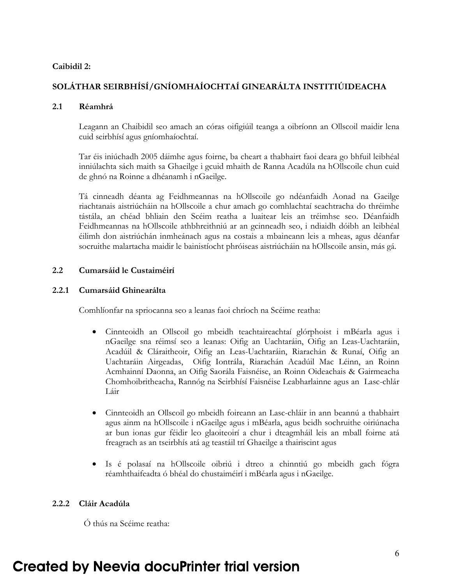### **Caibidil 2:**

# **SOLÁTHAR SEIRBHÍSÍ/GNÍOMHAÍOCHTAÍ GINEARÁLTA INSTITIÚIDEACHA**

### **2.1 Réamhrá**

 Leagann an Chaibidil seo amach an córas oifigiúil teanga a oibríonn an Ollscoil maidir lena cuid seirbhísí agus gníomhaíochtaí.

 Tar éis iniúchadh 2005 dáimhe agus foirne, ba cheart a thabhairt faoi deara go bhfuil leibhéal inniúlachta sách maith sa Ghaeilge i gcuid mhaith de Ranna Acadúla na hOllscoile chun cuid de ghnó na Roinne a dhéanamh i nGaeilge.

 Tá cinneadh déanta ag Feidhmeannas na hOllscoile go ndéanfaidh Aonad na Gaeilge riachtanais aistriúcháin na hOllscoile a chur amach go comhlachtaí seachtracha do thréimhe tástála, an chéad bhliain den Scéim reatha a luaitear leis an tréimhse seo. Déanfaidh Feidhmeannas na hOllscoile athbhreithniú ar an gcinneadh seo, i ndiaidh dóibh an leibhéal éilimh don aistriúchán inmheánach agus na costais a mbaineann leis a mheas, agus déanfar socruithe malartacha maidir le bainistíocht phróiseas aistriúcháin na hOllscoile ansin, más gá.

### **2.2 Cumarsáid le Custaiméirí**

#### **2.2.1 Cumarsáid Ghinearálta**

Comhlíonfar na spriocanna seo a leanas faoi chríoch na Scéime reatha:

- Cinnteoidh an Ollscoil go mbeidh teachtaireachtaí glórphoist i mBéarla agus i nGaeilge sna réimsí seo a leanas: Oifig an Uachtaráin, Oifig an Leas-Uachtaráin, Acadúil & Cláraitheoir, Oifig an Leas-Uachtaráin, Riarachán & Runaí, Oifig an Uachtaráin Airgeadas, Oifig Iontrála, Riarachán Acadúil Mac Léinn, an Roinn Acmhainní Daonna, an Oifig Saorála Faisnéise, an Roinn Oideachais & Gairmeacha Chomhoibritheacha, Rannóg na Seirbhísí Faisnéise Leabharlainne agus an Lasc-chlár Láir
- Cinnteoidh an Ollscoil go mbeidh foireann an Lasc-chláir in ann beannú a thabhairt agus ainm na hOllscoile i nGaeilge agus i mBéarla, agus beidh sochruithe oiriúnacha ar bun ionas gur féidir leo glaoiteoirí a chur i dteagmháil leis an mball foirne atá freagrach as an tseirbhís atá ag teastáil trí Ghaeilge a thairiscint agus
- Is é polasaí na hOllscoile oibriú i dtreo a chinntiú go mbeidh gach fógra réamhthaifeadta ó bhéal do chustaiméirí i mBéarla agus i nGaeilge.

### **2.2.2 Cláir Acadúla**

Ó thús na Scéime reatha: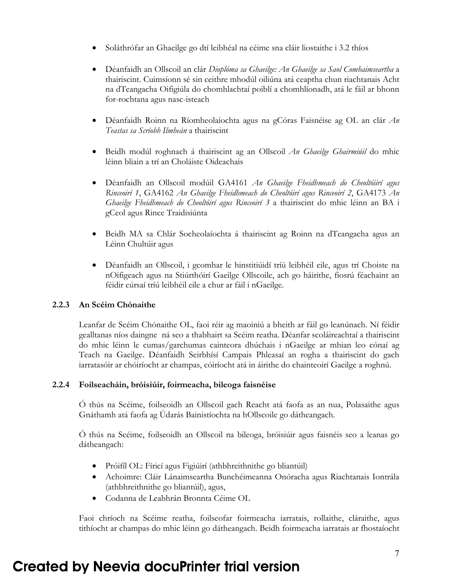- Soláthrófar an Ghaeilge go dtí leibhéal na céime sna cláir liostaithe i 3.2 thíos
- Déanfaidh an Ollscoil an clár *Dioplóma sa Ghaeilge: An Ghaeilge sa Saol Comhaimseartha* a thairiscint. Cuimsíonn sé sin ceithre mhodúl oiliúna atá ceaptha chun riachtanais Acht na dTeangacha Oifigiúla do chomhlachtaí poiblí a chomhlíonadh, atá le fáil ar bhonn for-rochtana agus nasc-isteach
- Déanfaidh Roinn na Ríomheolaíochta agus na gCóras Faisnéise ag OL an clár *An Teastas sa Scríobh Ilmheán* a thairiscint
- Beidh modúl roghnach á thairiscint ag an Ollscoil *An Ghaeilge Ghairmiúil* do mhic léinn bliain a trí an Choláiste Oideachais
- Déanfaidh an Ollscoil modúil GA4161 *An Ghaeilge Fheidhmeach do Cheoltóiirí agus Rinceoirí 1*, GA4162 *An Ghaeilge Fheidhmeach do Cheoltóirí agus Rinceoirí 2*, GA4173 *An Ghaeilge Fheidhmeach do Cheoltóirí agus Rinceoirí 3* a thairiscint do mhic léinn an BA i gCeol agus Rince Traidisiúnta
- Beidh MA sa Chlár Socheolaíochta á thairiscint ag Roinn na dTeangacha agus an Léinn Chultúir agus
- Déanfaidh an Ollscoil, i gcomhar le hinstitiúidí tríú leibhéil eile, agus trí Choiste na nOifigeach agus na Stiúrthóirí Gaeilge Ollscoile, ach go háirithe, fiosrú féachaint an féidir cúrsaí tríú leibhéil eile a chur ar fáil i nGaeilge.

### **2.2.3 An Scéim Chónaithe**

Leanfar de Scéim Chónaithe OL, faoi réir ag maoiniú a bheith ar fáil go leanúnach. Ní féidir gealltanas níos daingne ná seo a thabhairt sa Scéim reatha. Déanfar scoláireachtaí a thairiscint do mhic léinn le cumas/garchumas cainteora dhúchais i nGaeilge ar mhian leo cónaí ag Teach na Gaeilge. Déanfaidh Seirbhísí Campais Phleasaí an rogha a thairiscint do gach iarratasóir ar chóiríocht ar champas, cóiríocht atá in áirithe do chainteoirí Gaeilge a roghnú.

### **2.2.4 Foilseacháin, bróisiúir, foirmeacha, bileoga faisnéise**

Ó thús na Scéime, foilseoidh an Ollscoil gach Reacht atá faofa as an nua, Polasaithe agus Gnáthamh atá faofa ag Údarás Bainistíochta na hOllscoile go dátheangach.

Ó thús na Scéime, foilseoidh an Ollscoil na bileoga, bróisiúir agus faisnéis seo a leanas go dátheangach:

- Próifíl OL: Fíricí agus Figiúirí (athbhreithnithe go bliantúil)
- Achoimre: Cláir Lánaimseartha Bunchéimeanna Onóracha agus Riachtanais Iontrála (athbhreithnithe go bliantúil), agus,
- Codanna de Leabhrán Bronnta Céime OL

Faoi chríoch na Scéime reatha, foilseofar foirmeacha iarratais, rollaithe, cláraithe, agus tithíocht ar champas do mhic léinn go dátheangach. Beidh foirmeacha iarratais ar fhostaíocht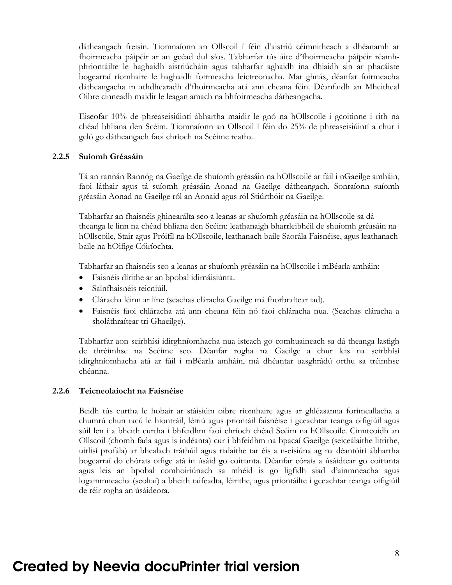dátheangach freisin. Tiomnaíonn an Ollscoil í féin d'aistriú céimnitheach a dhéanamh ar fhoirmeacha páipéir ar an gcéad dul síos. Tabharfar tús áite d'fhoirmeacha páipéir réamhphriontáilte le haghaidh aistriúcháin agus tabharfar aghaidh ina dhiaidh sin ar phacáiste bogearraí ríomhaire le haghaidh foirmeacha leictreonacha. Mar ghnás, déanfar foirmeacha dátheangacha in athdhearadh d'fhoirmeacha atá ann cheana féin. Déanfaidh an Mheitheal Oibre cinneadh maidir le leagan amach na bhfoirmeacha dátheangacha.

Eiseofar 10% de phreaseisiúintí ábhartha maidir le gnó na hOllscoile i gcoitinne i rith na chéad bhliana den Scéim. Tiomnaíonn an Ollscoil í féin do 25% de phreaseisiúintí a chur i gcló go dátheangach faoi chríoch na Scéime reatha.

#### **2.2.5 Suíomh Gréasáin**

Tá an rannán Rannóg na Gaeilge de shuíomh gréasáin na hOllscoile ar fáil i nGaeilge amháin, faoi láthair agus tá suíomh gréasáin Aonad na Gaeilge dátheangach. Sonraíonn suíomh gréasáin Aonad na Gaeilge ról an Aonaid agus ról Stiúrthóir na Gaeilge.

Tabharfar an fhaisnéis ghinearálta seo a leanas ar shuíomh gréasáin na hOllscoile sa dá theanga le linn na chéad bhliana den Scéim: leathanaigh bharrleibhéil de shuíomh gréasáin na hOllscoile, Stair agus Próifíl na hOllscoile, leathanach baile Saorála Faisnéise, agus leathanach baile na hOifige Cóiríochta.

Tabharfar an fhaisnéis seo a leanas ar shuíomh gréasáin na hOllscoile i mBéarla amháin:

- Faisnéis dírithe ar an bpobal idirnáisiúnta.
- Sainfhaisnéis teicniúil.
- Cláracha léinn ar líne (seachas cláracha Gaeilge má fhorbraítear iad).
- Faisnéis faoi chláracha atá ann cheana féin nó faoi chláracha nua. (Seachas cláracha a sholáthraítear trí Ghaeilge).

Tabharfar aon seirbhísí idirghníomhacha nua isteach go comhuaineach sa dá theanga lastigh de thréimhse na Scéime seo. Déanfar rogha na Gaeilge a chur leis na seirbhísí idirghníomhacha atá ar fáil i mBéarla amháin, má dhéantar uasghrádú orthu sa tréimhse chéanna.

#### **2.2.6 Teicneolaíocht na Faisnéise**

Beidh tús curtha le hobair ar stáisiúin oibre ríomhaire agus ar ghléasanna forimeallacha a chumrú chun tacú le hiontráil, léiriú agus priontáil faisnéise i gceachtar teanga oifigiúil agus súil len í a bheith curtha i bhfeidhm faoi chríoch chéad Scéim na hOllscoile. Cinnteoidh an Ollscoil (chomh fada agus is indéanta) cur i bhfeidhm na bpacaí Gaeilge (seiceálaithe litrithe, uirlisí profála) ar bhealach tráthúil agus rialaithe tar éis a n-eisiúna ag na déantóirí ábhartha bogearraí do chórais oifige atá in úsáid go coitianta. Déanfar córais a úsáidtear go coitianta agus leis an bpobal comhoiriúnach sa mhéid is go ligfidh siad d'ainmneacha agus logainmneacha (seoltaí) a bheith taifeadta, léirithe, agus priontáilte i gceachtar teanga oifigiúil de réir rogha an úsáideora.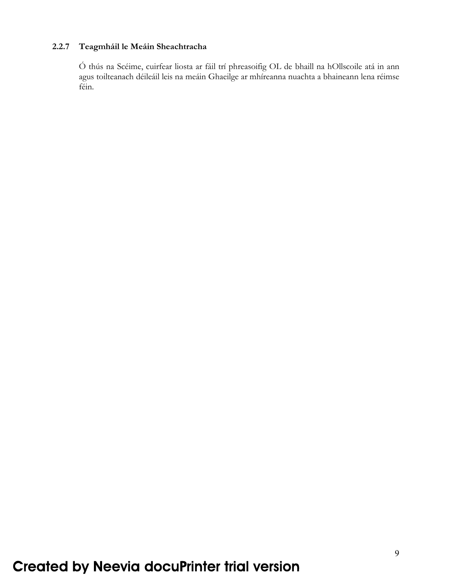# **2.2.7 Teagmháil le Meáin Sheachtracha**

Ó thús na Scéime, cuirfear liosta ar fáil trí phreasoifig OL de bhaill na hOllscoile atá in ann agus toilteanach déileáil leis na meáin Ghaeilge ar mhíreanna nuachta a bhaineann lena réimse féin.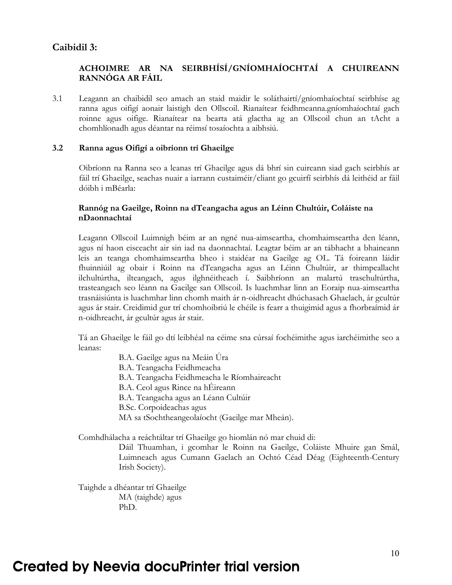# **Caibidil 3:**

### **ACHOIMRE AR NA SEIRBHÍSÍ/GNÍOMHAÍOCHTAÍ A CHUIREANN RANNÓGA AR FÁIL**

3.1 Leagann an chaibidil seo amach an staid maidir le soláthairtí/gníomhaíochtaí seirbhíse ag ranna agus oifigí aonair laistigh den Ollscoil. Rianaítear feidhmeanna.gníomhaíochtaí gach roinne agus oifige. Rianaítear na bearta atá glactha ag an Ollscoil chun an tAcht a chomhlíonadh agus déantar na réimsí tosaíochta a aibhsiú.

#### **3.2 Ranna agus Oifigí a oibríonn trí Ghaeilge**

 Oibríonn na Ranna seo a leanas trí Ghaeilge agus dá bhrí sin cuireann siad gach seirbhís ar fáil trí Ghaeilge, seachas nuair a iarrann custaiméir/cliant go gcuirfí seirbhís dá leithéid ar fáil dóibh i mBéarla:

#### **Rannóg na Gaeilge, Roinn na dTeangacha agus an Léinn Chultúir, Coláiste na nDaonnachtaí**

Leagann Ollscoil Luimnigh béim ar an ngné nua-aimseartha, chomhaimseartha den léann, agus ní haon eisceacht air sin iad na daonnachtaí. Leagtar béim ar an tábhacht a bhaineann leis an teanga chomhaimseartha bheo i staidéar na Gaeilge ag OL. Tá foireann láidir fhuinniúil ag obair i Roinn na dTeangacha agus an Léinn Chultúir, ar thimpeallacht ilchultúrtha, ilteangach, agus ilghnéitheach í. Saibhríonn an malartú traschultúrtha, trasteangach seo léann na Gaeilge san Ollscoil. Is luachmhar linn an Eoraip nua-aimseartha trasnáisiúnta is luachmhar linn chomh maith ár n-oidhreacht dhúchasach Ghaelach, ár gcultúr agus ár stair. Creidimid gur trí chomhoibriú le chéile is fearr a thuigimid agus a fhorbraímid ár n-oidhreacht, ár gcultúr agus ár stair.

Tá an Ghaeilge le fáil go dtí leibhéal na céime sna cúrsaí fochéimithe agus iarchéimithe seo a leanas:

- B.A. Gaeilge agus na Meáin Úra
- B.A. Teangacha Feidhmeacha
- B.A. Teangacha Feidhmeacha le Ríomhaireacht
- B.A. Ceol agus Rince na hÉireann
- B.A. Teangacha agus an Léann Cultúir
- B.Sc. Corpoideachas agus
- MA sa tSochtheangeolaíocht (Gaeilge mar Mheán).

Comhdhálacha a reáchtáltar trí Ghaeilge go hiomlán nó mar chuid di:

Dáil Thuamhan, i gcomhar le Roinn na Gaeilge, Coláiste Mhuire gan Smál, Luimneach agus Cumann Gaelach an Ochtó Céad Déag (Eighteenth-Century Irish Society).

Taighde a dhéantar trí Ghaeilge MA (taighde) agus PhD.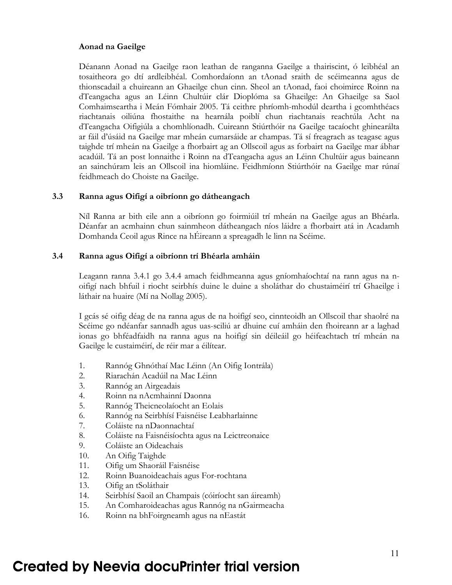#### **Aonad na Gaeilge**

Déanann Aonad na Gaeilge raon leathan de ranganna Gaeilge a thairiscint, ó leibhéal an tosaitheora go dtí ardleibhéal. Comhordaíonn an tAonad sraith de scéimeanna agus de thionscadail a chuireann an Ghaeilge chun cinn. Sheol an tAonad, faoi choimirce Roinn na dTeangacha agus an Léinn Chultúir clár Dioplóma sa Ghaeilge: An Ghaeilge sa Saol Comhaimseartha i Meán Fómhair 2005. Tá ceithre phríomh-mhodúl deartha i gcomhthéacs riachtanais oiliúna fhostaithe na hearnála poiblí chun riachtanais reachtúla Acht na dTeangacha Oifigiúla a chomhlíonadh. Cuireann Stiúrthóir na Gaeilge tacaíocht ghinearálta ar fáil d'úsáid na Gaeilge mar mheán cumarsáide ar champas. Tá sí freagrach as teagasc agus taighde trí mheán na Gaeilge a fhorbairt ag an Ollscoil agus as forbairt na Gaeilge mar ábhar acadúil. Tá an post lonnaithe i Roinn na dTeangacha agus an Léinn Chultúir agus baineann an sainchúram leis an Ollscoil ina hiomláine. Feidhmíonn Stiúrthóir na Gaeilge mar rúnaí feidhmeach do Choiste na Gaeilge.

#### **3.3 Ranna agus Oifigí a oibríonn go dátheangach**

Níl Ranna ar bith eile ann a oibríonn go foirmiúil trí mheán na Gaeilge agus an Bhéarla. Déanfar an acmhainn chun sainmheon dátheangach níos láidre a fhorbairt atá in Acadamh Domhanda Ceoil agus Rince na hÉireann a spreagadh le linn na Scéime.

#### **3.4 Ranna agus Oifigí a oibríonn trí Bhéarla amháin**

Leagann ranna 3.4.1 go 3.4.4 amach feidhmeanna agus gníomhaíochtaí na rann agus na noifigí nach bhfuil i riocht seirbhís duine le duine a sholáthar do chustaiméirí trí Ghaeilge i láthair na huaire (Mí na Nollag 2005).

I gcás sé oifig déag de na ranna agus de na hoifigí seo, cinnteoidh an Ollscoil thar shaolré na Scéime go ndéanfar sannadh agus uas-sciliú ar dhuine cuí amháin den fhoireann ar a laghad ionas go bhféadfaidh na ranna agus na hoifigí sin déileáil go héifeachtach trí mheán na Gaeilge le custaiméirí, de réir mar a éilítear.

- 1. Rannóg Ghnóthaí Mac Léinn (An Oifig Iontrála)
- 2. Riarachán Acadúil na Mac Léinn
- 3. Rannóg an Airgeadais
- 4. Roinn na nAcmhainní Daonna
- 5. Rannóg Theicneolaíocht an Eolais
- 6. Rannóg na Seirbhísí Faisnéise Leabharlainne
- 7. Coláiste na nDaonnachtaí
- 8. Coláiste na Faisnéisíochta agus na Leictreonaice
- 9. Coláiste an Oideachais
- 10. An Oifig Taighde
- 11. Oifig um Shaoráil Faisnéise
- 12. Roinn Buanoideachais agus For-rochtana
- 13. Oifig an tSoláthair
- 14. Seirbhísí Saoil an Champais (cóiríocht san áireamh)
- 15. An Comharoideachas agus Rannóg na nGairmeacha
- 16. Roinn na bhFoirgneamh agus na nEastát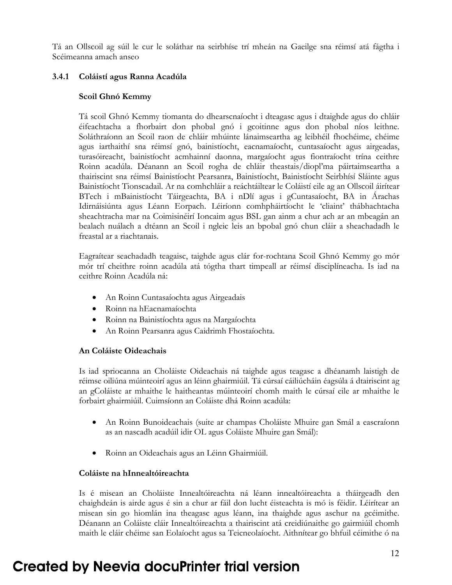Tá an Ollscoil ag súil le cur le soláthar na seirbhíse trí mheán na Gaeilge sna réimsí atá fágtha i Scéimeanna amach anseo

### **3.4.1 Coláistí agus Ranna Acadúla**

#### **Scoil Ghnó Kemmy**

Tá scoil Ghnó Kemmy tiomanta do dhearscnaíocht i dteagasc agus i dtaighde agus do chláir éifeachtacha a fhorbairt don phobal gnó i gcoitinne agus don phobal níos leithne. Soláthraíonn an Scoil raon de chláir mhúinte lánaimseartha ag leibhéil fhochéime, chéime agus iarthaithí sna réimsí gnó, bainistíocht, eacnamaíocht, cuntasaíocht agus airgeadas, turasóireacht, bainistíocht acmhainní daonna, margaíocht agus fiontraíocht trína ceithre Roinn acadúla. Déanann an Scoil rogha de chláir theastais/diopl'ma páirtaimseartha a thairiscint sna réimsí Bainistíocht Pearsanra, Bainistíocht, Bainistíocht Seirbhísí Sláinte agus Bainistíocht Tionscadail. Ar na comhchláir a reáchtáiltear le Coláistí eile ag an Ollscoil áirítear BTech i mBainistíocht Táirgeachta, BA i nDlí agus i gCuntasaíocht, BA in Árachas Idirnáisiúnta agus Léann Eorpach. Léiríonn comhpháirtíocht le 'cliaint' thábhachtacha sheachtracha mar na Coimisinéirí Ioncaim agus BSL gan ainm a chur ach ar an mbeagán an bealach nuálach a dtéann an Scoil i ngleic leis an bpobal gnó chun cláir a sheachadadh le freastal ar a riachtanais.

Eagraítear seachadadh teagaisc, taighde agus clár for-rochtana Scoil Ghnó Kemmy go mór mór trí cheithre roinn acadúla atá tógtha thart timpeall ar réimsí disciplíneacha. Is iad na ceithre Roinn Acadúla ná:

- An Roinn Cuntasaíochta agus Airgeadais
- Roinn na hEacnamaíochta
- Roinn na Bainistíochta agus na Margaíochta
- An Roinn Pearsanra agus Caidrimh Fhostaíochta.

#### **An Coláiste Oideachais**

Is iad spriocanna an Choláiste Oideachais ná taighde agus teagasc a dhéanamh laistigh de réimse oiliúna múinteoirí agus an léinn ghairmiúil. Tá cúrsaí cáiliúcháin éagsúla á dtairiscint ag an gColáiste ar mhaithe le haitheantas múinteoirí chomh maith le cúrsaí eile ar mhaithe le forbairt ghairmiúil. Cuimsíonn an Coláiste dhá Roinn acadúla:

- An Roinn Bunoideachais (suite ar champas Choláiste Mhuire gan Smál a eascraíonn as an nascadh acadúil idir OL agus Coláiste Mhuire gan Smál):
- Roinn an Oideachais agus an Léinn Ghairmiúil.

#### **Coláiste na hInnealtóireachta**

Is é misean an Choláiste Innealtóireachta ná léann innealtóireachta a tháirgeadh den chaighdeán is airde agus é sin a chur ar fáil don lucht éisteachta is mó is féidir. Léirítear an misean sin go hiomlán ina theagasc agus léann, ina thaighde agus aschur na gcéimithe. Déanann an Coláiste cláir Innealtóireachta a thairiscint atá creidiúnaithe go gairmiúil chomh maith le cláir chéime san Eolaíocht agus sa Teicneolaíocht. Aithnítear go bhfuil céimithe ó na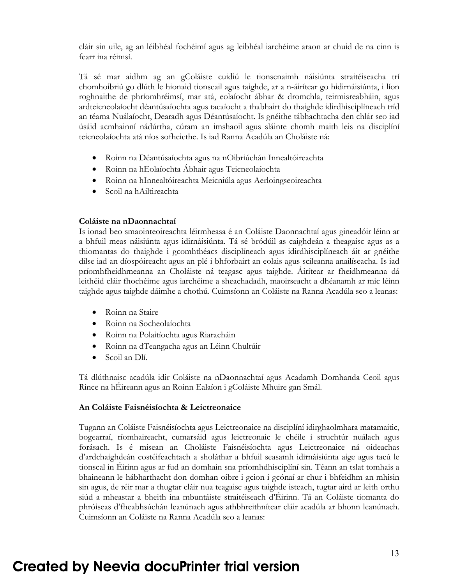cláir sin uile, ag an léibhéal fochéimí agus ag leibhéal iarchéime araon ar chuid de na cinn is fearr ina réimsí.

Tá sé mar aidhm ag an gColáiste cuidiú le tionscnaimh náisiúnta straitéiseacha trí chomhoibriú go dlúth le hionaid tionscail agus taighde, ar a n-áirítear go hidirnáisiúnta, i líon roghnaithe de phríomhréimsí, mar atá, eolaíocht ábhar & dromchla, teirmisreabháin, agus ardteicneolaíocht déantúsaíochta agus tacaíocht a thabhairt do thaighde idirdhisciplíneach tríd an téama Nuálaíocht, Dearadh agus Déantúsaíocht. Is gnéithe tábhachtacha den chlár seo iad úsáid acmhainní nádúrtha, cúram an imshaoil agus sláinte chomh maith leis na disciplíní teicneolaíochta atá níos sofheicthe. Is iad Ranna Acadúla an Choláiste ná:

- Roinn na Déantúsaíochta agus na nOibriúchán Innealtóireachta
- Roinn na hEolaíochta Ábhair agus Teicneolaíochta
- Roinn na hInnealtóireachta Meicniúla agus Aerloingseoireachta
- Scoil na hAiltireachta

#### **Coláiste na nDaonnachtaí**

Is ionad beo smaointeoireachta léirmheasa é an Coláiste Daonnachtaí agus gineadóir léinn ar a bhfuil meas náisiúnta agus idirnáisiúnta. Tá sé bródúil as caighdeán a theagaisc agus as a thiomantas do thaighde i gcomhthéacs disciplíneach agus idirdhisciplíneach áit ar gnéithe dílse iad an díospóireacht agus an plé i bhforbairt an eolais agus scileanna anailíseacha. Is iad príomhfheidhmeanna an Choláiste ná teagasc agus taighde. Áirítear ar fheidhmeanna dá leithéid cláir fhochéime agus iarchéime a sheachadadh, maoirseacht a dhéanamh ar mic léinn taighde agus taighde dáimhe a chothú. Cuimsíonn an Coláiste na Ranna Acadúla seo a leanas:

- Roinn na Staire
- Roinn na Socheolaíochta
- Roinn na Polaitíochta agus Riaracháin
- Roinn na dTeangacha agus an Léinn Chultúir
- Scoil an Dlí.

Tá dlúthnaisc acadúla idir Coláiste na nDaonnachtaí agus Acadamh Domhanda Ceoil agus Rince na hÉireann agus an Roinn Ealaíon i gColáiste Mhuire gan Smál.

#### **An Coláiste Faisnéisíochta & Leictreonaice**

Tugann an Coláiste Faisnéisíochta agus Leictreonaice na disciplíní idirghaolmhara matamaitic, bogearraí, ríomhaireacht, cumarsáid agus leictreonaic le chéile i struchtúr nuálach agus forásach. Is é misean an Choláiste Faisnéisíochta agus Leictreonaice ná oideachas d'ardchaighdeán costéifeachtach a sholáthar a bhfuil seasamh idirnáisiúnta aige agus tacú le tionscal in Éirinn agus ar fud an domhain sna príomhdhisciplíní sin. Téann an tslat tomhais a bhaineann le hábharthacht don domhan oibre i gcion i gcónaí ar chur i bhfeidhm an mhisin sin agus, de réir mar a thugtar cláir nua teagaisc agus taighde isteach, tugtar aird ar leith orthu siúd a mheastar a bheith ina mbuntáiste straitéiseach d'Éirinn. Tá an Coláiste tiomanta do phróiseas d'fheabhsúchán leanúnach agus athbhreithnítear cláir acadúla ar bhonn leanúnach. Cuimsíonn an Coláiste na Ranna Acadúla seo a leanas: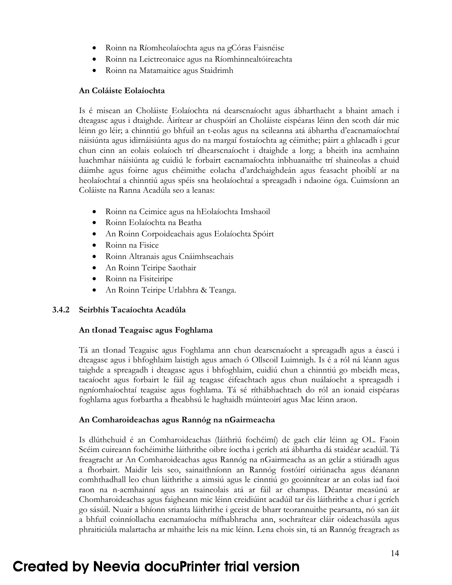- Roinn na Ríomheolaíochta agus na gCóras Faisnéise
- Roinn na Leictreonaice agus na Ríomhinnealtóireachta
- Roinn na Matamaitice agus Staidrimh

#### **An Coláiste Eolaíochta**

Is é misean an Choláiste Eolaíochta ná dearscnaíocht agus ábharthacht a bhaint amach i dteagasc agus i dtaighde. Áirítear ar chuspóirí an Choláiste eispéaras léinn den scoth dár mic léinn go léir; a chinntiú go bhfuil an t-eolas agus na scileanna atá ábhartha d'eacnamaíochtaí náisiúnta agus idirnáisiúnta agus do na margaí fostaíochta ag céimithe; páirt a ghlacadh i gcur chun cinn an eolais eolaíoch trí dhearscnaíocht i dtaighde a lorg; a bheith ina acmhainn luachmhar náisiúnta ag cuidiú le forbairt eacnamaíochta inbhuanaithe trí shaineolas a chuid dáimhe agus foirne agus chéimithe eolacha d'ardchaighdeán agus feasacht phoiblí ar na heolaíochtaí a chinntiú agus spéis sna heolaíochtaí a spreagadh i ndaoine óga. Cuimsíonn an Coláiste na Ranna Acadúla seo a leanas:

- Roinn na Ceimice agus na hEolaíochta Imshaoil
- Roinn Eolaíochta na Beatha
- An Roinn Corpoideachais agus Eolaíochta Spóirt
- Roinn na Fisice
- Roinn Altranais agus Cnáimhseachais
- An Roinn Teiripe Saothair
- Roinn na Fisiteiripe
- An Roinn Teiripe Urlabhra & Teanga.

### **3.4.2 Seirbhís Tacaíochta Acadúla**

#### **An tIonad Teagaisc agus Foghlama**

Tá an tIonad Teagaisc agus Foghlama ann chun dearscnaíocht a spreagadh agus a éascú i dteagasc agus i bhfoghlaim laistigh agus amach ó Ollscoil Luimnigh. Is é a ról ná léann agus taighde a spreagadh i dteagasc agus i bhfoghlaim, cuidiú chun a chinntiú go mbeidh meas, tacaíocht agus forbairt le fáil ag teagasc éifeachtach agus chun nuálaíocht a spreagadh i ngníomhaíochtaí teagaisc agus foghlama. Tá sé ríthábhachtach do ról an ionaid eispéaras foghlama agus forbartha a fheabhsú le haghaidh múinteoirí agus Mac léinn araon.

#### **An Comharoideachas agus Rannóg na nGairmeacha**

Is dlúthchuid é an Comharoideachas (láithriú fochéimí) de gach clár léinn ag OL. Faoin Scéim cuireann fochéimithe láithrithe oibre íoctha i gcrích atá ábhartha dá staidéar acadúil. Tá freagracht ar An Comharoideachas agus Rannóg na nGairmeacha as an gclár a stiúradh agus a fhorbairt. Maidir leis seo, sainaithníonn an Rannóg fostóirí oiriúnacha agus déanann comhthadhall leo chun láithrithe a aimsiú agus le cinntiú go gcoinnítear ar an eolas iad faoi raon na n-acmhainní agus an tsaineolais atá ar fáil ar champas. Déantar measúnú ar Chomharoideachas agus faigheann mic léinn creidiúint acadúil tar éis láithrithe a chur i gcrích go sásúil. Nuair a bhíonn srianta láithrithe i gceist de bharr teorannuithe pearsanta, nó san áit a bhfuil coinníollacha eacnamaíocha mífhabhracha ann, sochraítear cláir oideachasúla agus phraiticiúla malartacha ar mhaithe leis na mic léinn. Lena chois sin, tá an Rannóg freagrach as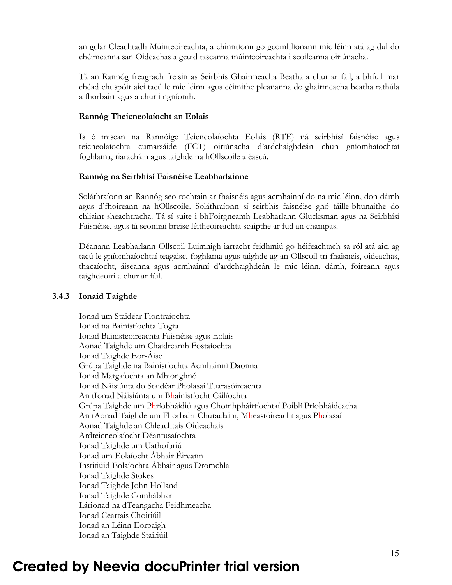an gclár Cleachtadh Múinteoireachta, a chinntíonn go gcomhlíonann mic léinn atá ag dul do chéimeanna san Oideachas a gcuid tascanna múinteoireachta i scoileanna oiriúnacha.

Tá an Rannóg freagrach freisin as Seirbhís Ghairmeacha Beatha a chur ar fáil, a bhfuil mar chéad chuspóir aici tacú le mic léinn agus céimithe pleananna do ghairmeacha beatha rathúla a fhorbairt agus a chur i ngníomh.

#### **Rannóg Theicneolaíocht an Eolais**

Is é misean na Rannóige Teicneolaíochta Eolais (RTE) ná seirbhísí faisnéise agus teicneolaíochta cumarsáide (FCT) oiriúnacha d'ardchaighdeán chun gníomhaíochtaí foghlama, riaracháin agus taighde na hOllscoile a éascú.

### **Rannóg na Seirbhísí Faisnéise Leabharlainne**

Soláthraíonn an Rannóg seo rochtain ar fhaisnéis agus acmhainní do na mic léinn, don dámh agus d'fhoireann na hOllscoile. Soláthraíonn sí seirbhís faisnéise gnó táille-bhunaithe do chliaint sheachtracha. Tá sí suite i bhFoirgneamh Leabharlann Glucksman agus na Seirbhísí Faisnéise, agus tá seomraí breise léitheoireachta scaipthe ar fud an champas.

Déanann Leabharlann Ollscoil Luimnigh iarracht feidhmiú go héifeachtach sa ról atá aici ag tacú le gníomhaíochtaí teagaisc, foghlama agus taighde ag an Ollscoil trí fhaisnéis, oideachas, thacaíocht, áiseanna agus acmhainní d'ardchaighdeán le mic léinn, dámh, foireann agus taighdeoirí a chur ar fáil.

### **3.4.3 Ionaid Taighde**

 Ionad um Staidéar Fiontraíochta Ionad na Bainistíochta Togra Ionad Bainisteoireachta Faisnéise agus Eolais Aonad Taighde um Chaidreamh Fostaíochta Ionad Taighde Eor-Áise Grúpa Taighde na Bainistíochta Acmhainní Daonna Ionad Margaíochta an Mhionghnó Ionad Náisiúnta do Staidéar Pholasaí Tuarasóireachta An tIonad Náisiúnta um Bhainistíocht Cáilíochta Grúpa Taighde um Phríobháidiú agus Chomhpháirtíochtaí Poiblí Príobháideacha An tAonad Taighde um Fhorbairt Churaclaim, Mheastóireacht agus Pholasaí Aonad Taighde an Chleachtais Oideachais Ardteicneolaíocht Déantusaíochta Ionad Taighde um Uathoibriú Ionad um Eolaíocht Ábhair Éireann Institiúid Eolaíochta Ábhair agus Dromchla Ionad Taighde Stokes Ionad Taighde John Holland Ionad Taighde Comhábhar Lárionad na dTeangacha Feidhmeacha Ionad Ceartais Choiriúil Ionad an Léinn Eorpaigh Ionad an Taighde Stairiúil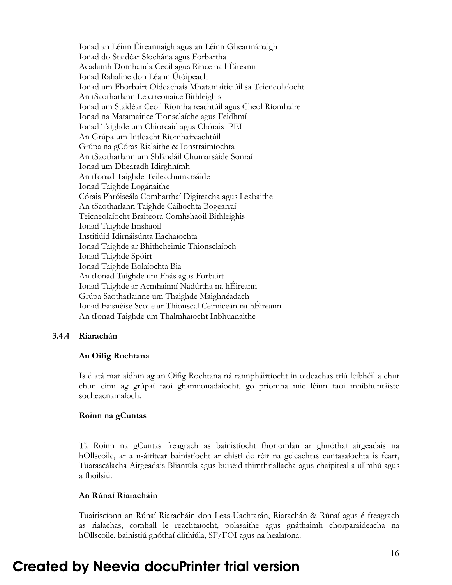Ionad an Léinn Éireannaigh agus an Léinn Ghearmánaigh Ionad do Staidéar Síochána agus Forbartha Acadamh Domhanda Ceoil agus Rince na hÉireann Ionad Rahaline don Léann Útóipeach Ionad um Fhorbairt Oideachais Mhatamaiticiúil sa Teicneolaíocht An tSaotharlann Leictreonaice Bithleighis Ionad um Staidéar Ceoil Ríomhaireachtúil agus Cheol Ríomhaire Ionad na Matamaitice Tionsclaíche agus Feidhmí Ionad Taighde um Chiorcaid agus Chórais PEI An Grúpa um Intleacht Ríomhaireachtúil Grúpa na gCóras Rialaithe & Ionstraimíochta An tSaotharlann um Shlándáil Chumarsáide Sonraí Ionad um Dhearadh Idirghnímh An tIonad Taighde Teileachumarsáide Ionad Taighde Logánaithe Córais Phróiseála Comharthaí Digiteacha agus Leabaithe An tSaotharlann Taighde Cáilíochta Bogearraí Teicneolaíocht Braiteora Comhshaoil Bithleighis Ionad Taighde Imshaoil Institiúid Idirnáisúnta Eachaíochta Ionad Taighde ar Bhithcheimic Thionsclaíoch Ionad Taighde Spóirt Ionad Taighde Eolaíochta Bia An tIonad Taighde um Fhás agus Forbairt Ionad Taighde ar Acmhainní Nádúrtha na hÉireann Grúpa Saotharlainne um Thaighde Maighnéadach Ionad Faisnéise Scoile ar Thionscal Ceimiceán na hÉireann An tIonad Taighde um Thalmhaíocht Inbhuanaithe

#### **3.4.4 Riarachán**

#### **An Oifig Rochtana**

Is é atá mar aidhm ag an Oifig Rochtana ná rannpháirtíocht in oideachas tríú leibhéil a chur chun cinn ag grúpaí faoi ghannionadaíocht, go príomha mic léinn faoi mhíbhuntáiste socheacnamaíoch.

#### **Roinn na gCuntas**

Tá Roinn na gCuntas freagrach as bainistíocht fhoriomlán ar ghnóthaí airgeadais na hOllscoile, ar a n-áirítear bainistíocht ar chistí de réir na gcleachtas cuntasaíochta is fearr, Tuarascálacha Airgeadais Bliantúla agus buiséid thimthriallacha agus chaipiteal a ullmhú agus a fhoilsiú.

#### **An Rúnaí Riaracháin**

Tuairiscíonn an Rúnaí Riaracháin don Leas-Uachtarán, Riarachán & Rúnaí agus é freagrach as rialachas, comhall le reachtaíocht, polasaithe agus gnáthaimh chorparáideacha na hOllscoile, bainistiú gnóthaí dlithiúla, SF/FOI agus na healaíona.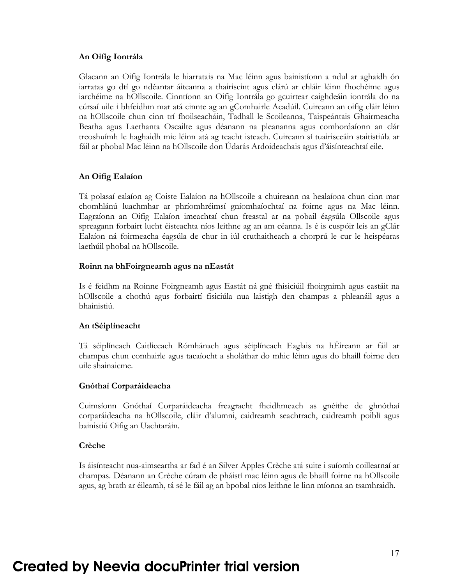#### **An Oifig Iontrála**

Glacann an Oifig Iontrála le hiarratais na Mac léinn agus bainistíonn a ndul ar aghaidh ón iarratas go dtí go ndéantar áiteanna a thairiscint agus clárú ar chláir léinn fhochéime agus iarchéime na hOllscoile. Cinntíonn an Oifig Iontrála go gcuirtear caighdeáin iontrála do na cúrsaí uile i bhfeidhm mar atá cinnte ag an gComhairle Acadúil. Cuireann an oifig cláir léinn na hOllscoile chun cinn trí fhoilseacháin, Tadhall le Scoileanna, Taispeántais Ghairmeacha Beatha agus Laethanta Oscailte agus déanann na pleananna agus comhordaíonn an clár treoshuímh le haghaidh mic léinn atá ag teacht isteach. Cuireann sí tuairisceáin staitistiúla ar fáil ar phobal Mac léinn na hOllscoile don Údarás Ardoideachais agus d'áisínteachtaí eile.

#### **An Oifig Ealaíon**

Tá polasaí ealaíon ag Coiste Ealaíon na hOllscoile a chuireann na healaíona chun cinn mar chomhlánú luachmhar ar phríomhréimsí gníomhaíochtaí na foirne agus na Mac léinn. Eagraíonn an Oifig Ealaíon imeachtaí chun freastal ar na pobail éagsúla Ollscoile agus spreagann forbairt lucht éisteachta níos leithne ag an am céanna. Is é is cuspóir leis an gClár Ealaíon ná foirmeacha éagsúla de chur in iúl cruthaitheach a chorprú le cur le heispéaras laethúil phobal na hOllscoile.

#### **Roinn na bhFoirgneamh agus na nEastát**

Is é feidhm na Roinne Foirgneamh agus Eastát ná gné fhisiciúil fhoirgnimh agus eastáit na hOllscoile a chothú agus forbairtí fisiciúla nua laistigh den champas a phleanáil agus a bhainistiú.

#### **An tSéiplíneacht**

Tá séiplíneach Caitliceach Rómhánach agus séiplíneach Eaglais na hÉireann ar fáil ar champas chun comhairle agus tacaíocht a sholáthar do mhic léinn agus do bhaill foirne den uile shainaicme.

#### **Gnóthaí Corparáideacha**

Cuimsíonn Gnóthaí Corparáideacha freagracht fheidhmeach as gnéithe de ghnóthaí corparáideacha na hOllscoile, cláir d'alumni, caidreamh seachtrach, caidreamh poiblí agus bainistiú Oifig an Uachtaráin.

### **Crèche**

Is áisínteacht nua-aimseartha ar fad é an Silver Apples Crèche atá suite i suíomh coillearnaí ar champas. Déanann an Crèche cúram de pháistí mac léinn agus de bhaill foirne na hOllscoile agus, ag brath ar éileamh, tá sé le fáil ag an bpobal níos leithne le linn míonna an tsamhraidh.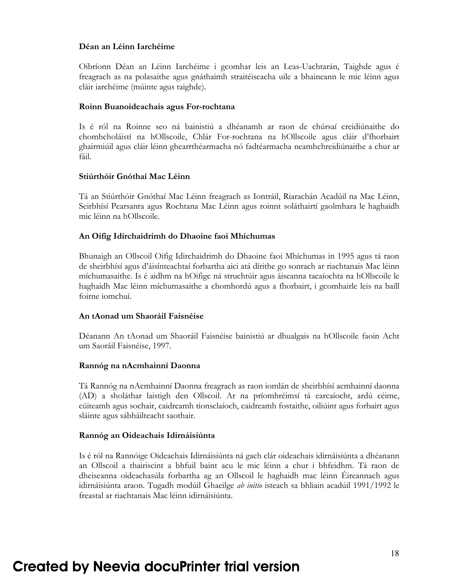#### **Déan an Léinn Iarchéime**

Oibríonn Déan an Léinn Iarchéime i gcomhar leis an Leas-Uachtarán, Taighde agus é freagrach as na polasaithe agus gnáthaimh straitéiseacha uile a bhaineann le mic léinn agus cláir iarchéime (múinte agus taighde).

#### **Roinn Buanoideachais agus For-rochtana**

Is é ról na Roinne seo ná bainistiú a dhéanamh ar raon de chúrsaí creidiúnaithe do chomhcholáistí na hOllscoile, Chlár For-rochtana na hOllscoile agus cláir d'fhorbairt ghairmiúil agus cláir léinn ghearrthéarmacha nó fadtéarmacha neamhchreidiúnaithe a chur ar fáil.

#### **Stiúrthóir Gnóthaí Mac Léinn**

Tá an Stiúrthóir Gnóthaí Mac Léinn freagrach as Iontráil, Riarachán Acadúil na Mac Léinn, Seirbhísí Pearsanra agus Rochtana Mac Léinn agus roinnt soláthairtí gaolmhara le haghaidh mic léinn na hOllscoile.

#### **An Oifig Idirchaidrimh do Dhaoine faoi Mhíchumas**

Bhunaigh an Ollscoil Oifig Idirchaidrimh do Dhaoine faoi Mhíchumas in 1995 agus tá raon de sheirbhísí agus d'áisínteachtaí forbartha aici atá dírithe go sonrach ar riachtanais Mac léinn míchumasaithe. Is é aidhm na hOifige ná struchtúir agus áiseanna tacaíochta na hOllscoile le haghaidh Mac léinn míchumasaithe a chomhordú agus a fhorbairt, i gcomhairle leis na baill foirne iomchuí.

#### **An tAonad um Shaoráil Faisnéise**

Déanann An tAonad um Shaoráil Faisnéise bainistiú ar dhualgais na hOllscoile faoin Acht um Saoráil Faisnéise, 1997.

#### **Rannóg na nAcmhainní Daonna**

Tá Rannóg na nAcmhainní Daonna freagrach as raon iomlán de sheirbhísí acmhainní daonna (AD) a sholáthar laistigh den Ollscoil. Ar na príomhréimsí tá earcaíocht, ardú céime, cúiteamh agus sochair, caidreamh tionsclaíoch, caidreamh fostaithe, oiliúint agus forbairt agus sláinte agus sábháilteacht saothair.

#### **Rannóg an Oideachais Idirnáisiúnta**

Is é ról na Rannóige Oideachais Idirnáisiúnta ná gach clár oideachais idirnáisiúnta a dhéanann an Ollscoil a thairiscint a bhfuil baint acu le mic léinn a chur i bhfeidhm. Tá raon de dheiseanna oideachasúla forbartha ag an Ollscoil le haghaidh mac léinn Éireannach agus idirnáisiúnta araon. Tugadh modúil Ghaeilge *ab initio* isteach sa bhliain acadúil 1991/1992 le freastal ar riachtanais Mac léinn idirnáisiúnta.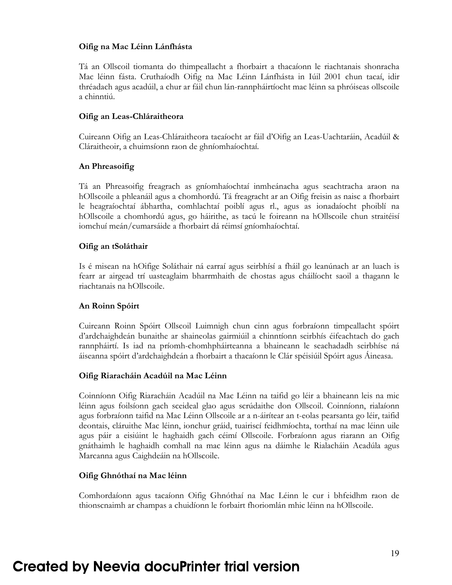#### **Oifig na Mac Léinn Lánfhásta**

Tá an Ollscoil tiomanta do thimpeallacht a fhorbairt a thacaíonn le riachtanais shonracha Mac léinn fásta. Cruthaíodh Oifig na Mac Léinn Lánfhásta in Iúil 2001 chun tacaí, idir thréadach agus acadúil, a chur ar fáil chun lán-rannpháirtíocht mac léinn sa phróiseas ollscoile a chinntiú.

#### **Oifig an Leas-Chláraitheora**

Cuireann Oifig an Leas-Chláraitheora tacaíocht ar fáil d'Oifig an Leas-Uachtaráin, Acadúil & Cláraitheoir, a chuimsíonn raon de ghníomhaíochtaí.

### **An Phreasoifig**

Tá an Phreasoifig freagrach as gníomhaíochtaí inmheánacha agus seachtracha araon na hOllscoile a phleanáil agus a chomhordú. Tá freagracht ar an Oifig freisin as naisc a fhorbairt le heagraíochtaí ábhartha, comhlachtaí poiblí agus rl., agus as ionadaíocht phoiblí na hOllscoile a chomhordú agus, go háirithe, as tacú le foireann na hOllscoile chun straitéisí iomchuí meán/cumarsáide a fhorbairt dá réimsí gníomhaíochtaí.

#### **Oifig an tSoláthair**

Is é misean na hOifige Soláthair ná earraí agus seirbhísí a fháil go leanúnach ar an luach is fearr ar airgead trí uasteaglaim bharrmhaith de chostas agus cháilíocht saoil a thagann le riachtanais na hOllscoile.

#### **An Roinn Spóirt**

Cuireann Roinn Spóirt Ollscoil Luimnigh chun cinn agus forbraíonn timpeallacht spóirt d'ardchaighdeán bunaithe ar shaineolas gairmiúil a chinntíonn seirbhís éifeachtach do gach rannpháirtí. Is iad na príomh-chomhpháirteanna a bhaineann le seachadadh seirbhíse ná áiseanna spóirt d'ardchaighdeán a fhorbairt a thacaíonn le Clár spéisiúil Spóirt agus Áineasa.

### **Oifig Riaracháin Acadúil na Mac Léinn**

Coinníonn Oifig Riaracháin Acadúil na Mac Léinn na taifid go léir a bhaineann leis na mic léinn agus foilsíonn gach sceideal glao agus scrúdaithe don Ollscoil. Coinníonn, rialaíonn agus forbraíonn taifid na Mac Léinn Ollscoile ar a n-áirítear an t-eolas pearsanta go léir, taifid deontais, cláruithe Mac léinn, ionchur gráid, tuairiscí feidhmíochta, torthaí na mac léinn uile agus páir a eisiúint le haghaidh gach céimí Ollscoile. Forbraíonn agus riarann an Oifig gnáthaimh le haghaidh comhall na mac léinn agus na dáimhe le Rialacháin Acadúla agus Marcanna agus Caighdeáin na hOllscoile.

#### **Oifig Ghnóthaí na Mac léinn**

Comhordaíonn agus tacaíonn Oifig Ghnóthaí na Mac Léinn le cur i bhfeidhm raon de thionscnaimh ar champas a chuidíonn le forbairt fhoriomlán mhic léinn na hOllscoile.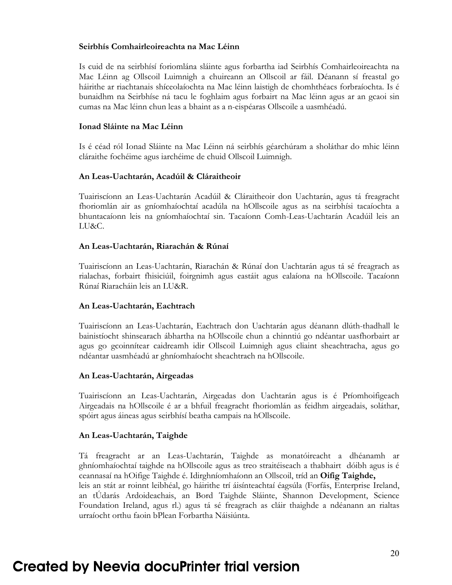#### **Seirbhís Comhairleoireachta na Mac Léinn**

Is cuid de na seirbhísí foriomlána sláinte agus forbartha iad Seirbhís Comhairleoireachta na Mac Léinn ag Ollscoil Luimnigh a chuireann an Ollscoil ar fáil. Déanann sí freastal go háirithe ar riachtanais shíceolaíochta na Mac léinn laistigh de chomhthéacs forbraíochta. Is é bunaidhm na Seirbhíse ná tacu le foghlaim agus forbairt na Mac léinn agus ar an gcaoi sin cumas na Mac léinn chun leas a bhaint as a n-eispéaras Ollscoile a uasmhéadú.

#### **Ionad Sláinte na Mac Léinn**

Is é céad ról Ionad Sláinte na Mac Léinn ná seirbhís géarchúram a sholáthar do mhic léinn cláraithe fochéime agus iarchéime de chuid Ollscoil Luimnigh.

#### **An Leas-Uachtarán, Acadúil & Cláraitheoir**

Tuairiscíonn an Leas-Uachtarán Acadúil & Cláraitheoir don Uachtarán, agus tá freagracht fhoriomlán air as gníomhaíochtaí acadúla na hOllscoile agus as na seirbhísi tacaíochta a bhuntacaíonn leis na gníomhaíochtaí sin. Tacaíonn Comh-Leas-Uachtarán Acadúil leis an LU&C.

#### **An Leas-Uachtarán, Riarachán & Rúnaí**

Tuairiscíonn an Leas-Uachtarán, Riarachán & Rúnaí don Uachtarán agus tá sé freagrach as rialachas, forbairt fhisiciúil, foirgnimh agus eastáit agus ealaíona na hOllscoile. Tacaíonn Rúnaí Riaracháin leis an LU&R.

#### **An Leas-Uachtarán, Eachtrach**

Tuairiscíonn an Leas-Uachtarán, Eachtrach don Uachtarán agus déanann dlúth-thadhall le bainistíocht shinsearach ábhartha na hOllscoile chun a chinntiú go ndéantar uasfhorbairt ar agus go gcoinnítear caidreamh idir Ollscoil Luimnigh agus cliaint sheachtracha, agus go ndéantar uasmhéadú ar ghníomhaíocht sheachtrach na hOllscoile.

#### **An Leas-Uachtarán, Airgeadas**

Tuairiscíonn an Leas-Uachtarán, Airgeadas don Uachtarán agus is é Príomhoifigeach Airgeadais na hOllscoile é ar a bhfuil freagracht fhoriomlán as feidhm airgeadais, soláthar, spóirt agus áineas agus seirbhísí beatha campais na hOllscoile.

#### **An Leas-Uachtarán, Taighde**

Tá freagracht ar an Leas-Uachtarán, Taighde as monatóireacht a dhéanamh ar ghníomhaíochtaí taighde na hOllscoile agus as treo straitéiseach a thabhairt dóibh agus is é ceannasaí na hOifige Taighde é. Idirghníomhaíonn an Ollscoil, tríd an **Oifig Taighde,** leis an stát ar roinnt leibhéal, go háirithe trí áisínteachtaí éagsúla (Forfás, Enterprise Ireland, an tÚdarás Ardoideachais, an Bord Taighde Sláinte, Shannon Development, Science Foundation Ireland, agus rl.) agus tá sé freagrach as cláir thaighde a ndéanann an rialtas urraíocht orthu faoin bPlean Forbartha Náisiúnta.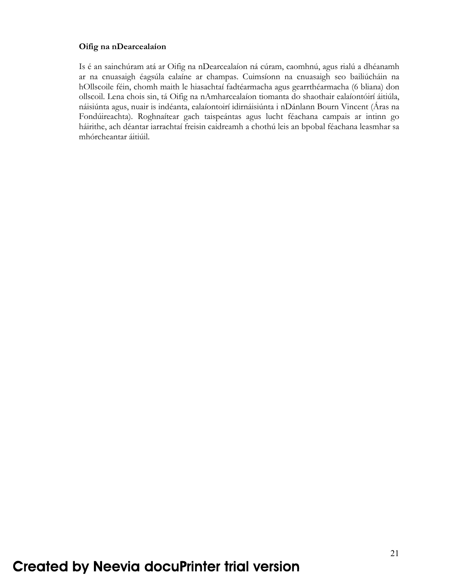### **Oifig na nDearcealaíon**

Is é an sainchúram atá ar Oifig na nDearcealaíon ná cúram, caomhnú, agus rialú a dhéanamh ar na cnuasaigh éagsúla ealaíne ar champas. Cuimsíonn na cnuasaigh seo bailiúcháin na hOllscoile féin, chomh maith le hiasachtaí fadtéarmacha agus gearrthéarmacha (6 bliana) don ollscoil. Lena chois sin, tá Oifig na nAmharcealaíon tiomanta do shaothair ealaíontóirí áitiúla, náisiúnta agus, nuair is indéanta, ealaíontoirí idirnáisiúnta i nDánlann Bourn Vincent (Áras na Fondúireachta). Roghnaítear gach taispeántas agus lucht féachana campais ar intinn go háirithe, ach déantar iarrachtaí freisin caidreamh a chothú leis an bpobal féachana leasmhar sa mhórcheantar áitiúil.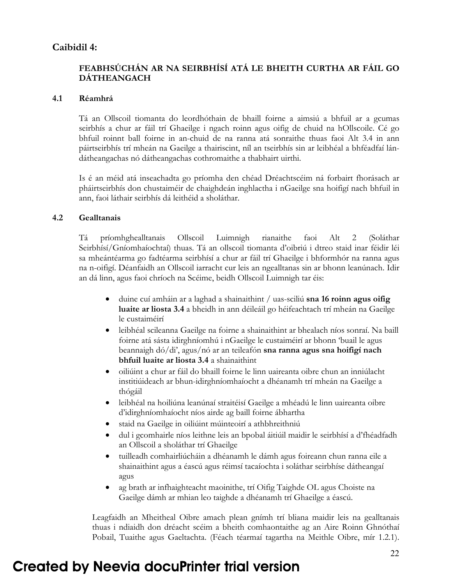# **Caibidil 4:**

# **FEABHSÚCHÁN AR NA SEIRBHÍSÍ ATÁ LE BHEITH CURTHA AR FÁIL GO DÁTHEANGACH**

#### **4.1 Réamhrá**

Tá an Ollscoil tiomanta do leordhóthain de bhaill foirne a aimsiú a bhfuil ar a gcumas seirbhís a chur ar fáil trí Ghaeilge i ngach roinn agus oifig de chuid na hOllscoile. Cé go bhfuil roinnt ball foirne in an-chuid de na ranna atá sonraithe thuas faoi Alt 3.4 in ann páirtseirbhís trí mheán na Gaeilge a thairiscint, níl an tseirbhís sin ar leibhéal a bhféadfaí lándátheangachas nó dátheangachas cothromaithe a thabhairt uirthi.

Is é an méid atá inseachadta go príomha den chéad Dréachtscéim ná forbairt fhorásach ar pháirtseirbhís don chustaiméir de chaighdeán inghlactha i nGaeilge sna hoifigí nach bhfuil in ann, faoi láthair seirbhís dá leithéid a sholáthar.

#### **4.2 Gealltanais**

Tá príomhghealltanais Ollscoil Luimnigh rianaithe faoi Alt 2 (Soláthar Seirbhísí/Gníomhaíochtaí) thuas. Tá an ollscoil tiomanta d'oibriú i dtreo staid inar féidir léi sa mheántéarma go fadtéarma seirbhísí a chur ar fáil trí Ghaeilge i bhformhór na ranna agus na n-oifigí. Déanfaidh an Ollscoil iarracht cur leis an ngealltanas sin ar bhonn leanúnach. Idir an dá linn, agus faoi chríoch na Scéime, beidh Ollscoil Luimnigh tar éis:

- duine cuí amháin ar a laghad a shainaithint / uas-sciliú **sna 16 roinn agus oifig luaite ar liosta 3.4** a bheidh in ann déileáil go héifeachtach trí mheán na Gaeilge le custaiméirí
- leibhéal scileanna Gaeilge na foirne a shainaithint ar bhealach níos sonraí. Na baill foirne atá sásta idirghníomhú i nGaeilge le custaiméirí ar bhonn 'buail le agus beannaigh dó/di', agus/nó ar an teileafón **sna ranna agus sna hoifigí nach bhfuil luaite ar liosta 3.4** a shainaithint
- oiliúint a chur ar fáil do bhaill foirne le linn uaireanta oibre chun an inniúlacht institiúideach ar bhun-idirghníomhaíocht a dhéanamh trí mheán na Gaeilge a thógáil
- leibhéal na hoiliúna leanúnaí straitéisí Gaeilge a mhéadú le linn uaireanta oibre d'idirghníomhaíocht níos airde ag baill foirne ábhartha
- staid na Gaeilge in oiliúint múinteoirí a athbhreithniú
- dul i gcomhairle níos leithne leis an bpobal áitiúil maidir le seirbhísí a d'fhéadfadh an Ollscoil a sholáthar trí Ghaeilge
- tuilleadh comhairliúcháin a dhéanamh le dámh agus foireann chun ranna eile a shainaithint agus a éascú agus réimsí tacaíochta i soláthar seirbhíse dátheangaí agus
- ag brath ar infhaighteacht maoinithe, trí Oifig Taighde OL agus Choiste na Gaeilge dámh ar mhian leo taighde a dhéanamh trí Ghaeilge a éascú.

Leagfaidh an Mheitheal Oibre amach plean gnímh trí bliana maidir leis na gealltanais thuas i ndiaidh don dréacht scéim a bheith comhaontaithe ag an Aire Roinn Ghnóthaí Pobail, Tuaithe agus Gaeltachta. (Féach téarmaí tagartha na Meithle Oibre, mír 1.2.1).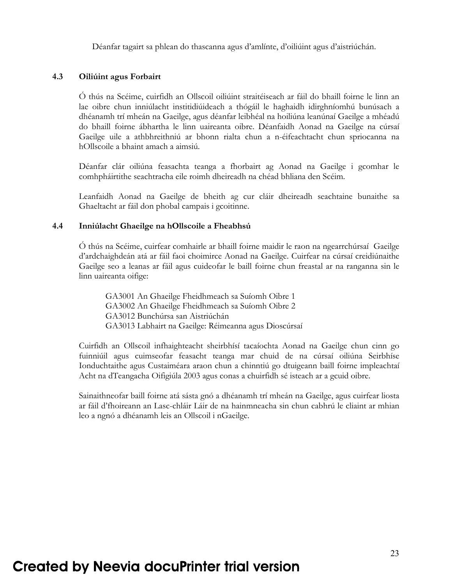Déanfar tagairt sa phlean do thascanna agus d'amlínte, d'oiliúint agus d'aistriúchán.

#### **4.3 Oiliúint agus Forbairt**

Ó thús na Scéime, cuirfidh an Ollscoil oiliúint straitéiseach ar fáil do bhaill foirne le linn an lae oibre chun inniúlacht institidiúideach a thógáil le haghaidh idirghníomhú bunúsach a dhéanamh trí mheán na Gaeilge, agus déanfar leibhéal na hoiliúna leanúnaí Gaeilge a mhéadú do bhaill foirne ábhartha le linn uaireanta oibre. Déanfaidh Aonad na Gaeilge na cúrsaí Gaeilge uile a athbhreithniú ar bhonn rialta chun a n-éifeachtacht chun spriocanna na hOllscoile a bhaint amach a aimsiú.

Déanfar clár oiliúna feasachta teanga a fhorbairt ag Aonad na Gaeilge i gcomhar le comhpháirtithe seachtracha eile roimh dheireadh na chéad bhliana den Scéim.

Leanfaidh Aonad na Gaeilge de bheith ag cur cláir dheireadh seachtaine bunaithe sa Ghaeltacht ar fáil don phobal campais i gcoitinne.

#### **4.4 Inniúlacht Ghaeilge na hOllscoile a Fheabhsú**

Ó thús na Scéime, cuirfear comhairle ar bhaill foirne maidir le raon na ngearrchúrsaí Gaeilge d'ardchaighdeán atá ar fáil faoi choimirce Aonad na Gaeilge. Cuirfear na cúrsaí creidiúnaithe Gaeilge seo a leanas ar fáil agus cuideofar le baill foirne chun freastal ar na ranganna sin le linn uaireanta oifige:

 GA3001 An Ghaeilge Fheidhmeach sa Suíomh Oibre 1 GA3002 An Ghaeilge Fheidhmeach sa Suíomh Oibre 2 GA3012 Bunchúrsa san Aistriúchán GA3013 Labhairt na Gaeilge: Réimeanna agus Dioscúrsaí

Cuirfidh an Ollscoil infhaighteacht sheirbhísí tacaíochta Aonad na Gaeilge chun cinn go fuinniúil agus cuimseofar feasacht teanga mar chuid de na cúrsaí oiliúna Seirbhíse Ionduchtaithe agus Custaiméara araon chun a chinntiú go dtuigeann baill foirne impleachtaí Acht na dTeangacha Oifigiúla 2003 agus conas a chuirfidh sé isteach ar a gcuid oibre.

Sainaithneofar baill foirne atá sásta gnó a dhéanamh trí mheán na Gaeilge, agus cuirfear liosta ar fáil d'fhoireann an Lasc-chláir Láir de na hainmneacha sin chun cabhrú le cliaint ar mhian leo a ngnó a dhéanamh leis an Ollscoil i nGaeilge.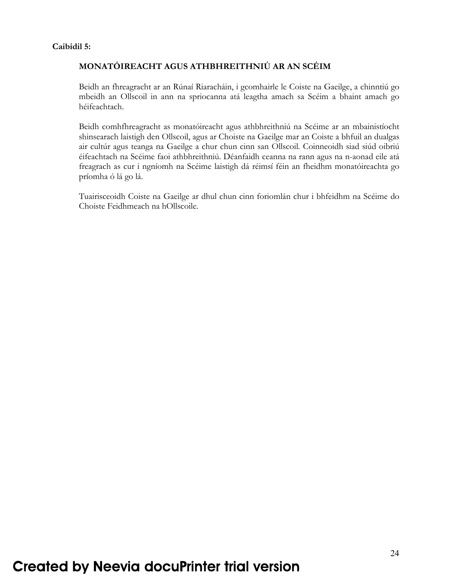### **Caibidil 5:**

# **MONATÓIREACHT AGUS ATHBHREITHNIÚ AR AN SCÉIM**

Beidh an fhreagracht ar an Rúnaí Riaracháin, i gcomhairle le Coiste na Gaeilge, a chinntiú go mbeidh an Ollscoil in ann na spriocanna atá leagtha amach sa Scéim a bhaint amach go héifeachtach.

Beidh comhfhreagracht as monatóireacht agus athbhreithniú na Scéime ar an mbainistíocht shinsearach laistigh den Ollscoil, agus ar Choiste na Gaeilge mar an Coiste a bhfuil an dualgas air cultúr agus teanga na Gaeilge a chur chun cinn san Ollscoil. Coinneoidh siad siúd oibriú éifeachtach na Scéime faoi athbhreithniú. Déanfaidh ceanna na rann agus na n-aonad eile atá freagrach as cur i ngníomh na Scéime laistigh dá réimsí féin an fheidhm monatóireachta go príomha ó lá go lá.

Tuairisceoidh Coiste na Gaeilge ar dhul chun cinn foriomlán chur i bhfeidhm na Scéime do Choiste Feidhmeach na hOllscoile.